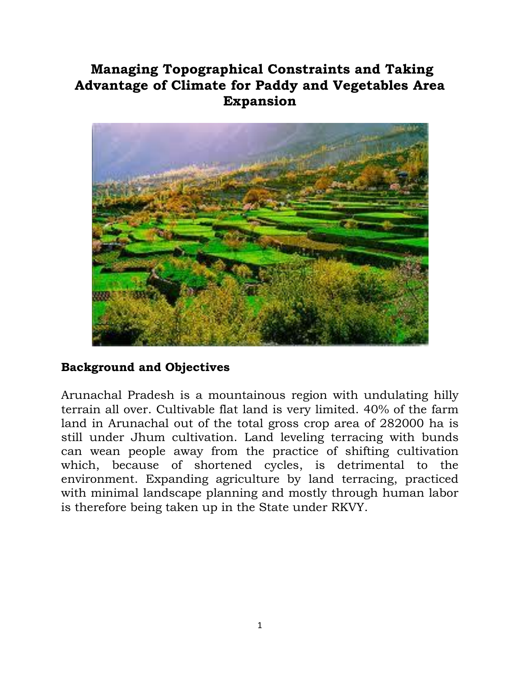## **Managing Topographical Constraints and Taking Advantage of Climate for Paddy and Vegetables Area Expansion**



## **Background and Objectives**

Arunachal Pradesh is a mountainous region with undulating hilly terrain all over. Cultivable flat land is very limited. 40% of the farm land in Arunachal out of the total gross crop area of 282000 ha is still under Jhum cultivation. Land leveling terracing with bunds can wean people away from the practice of shifting cultivation which, because of shortened cycles, is detrimental to the environment. Expanding agriculture by land terracing, practiced with minimal landscape planning and mostly through human labor is therefore being taken up in the State under RKVY.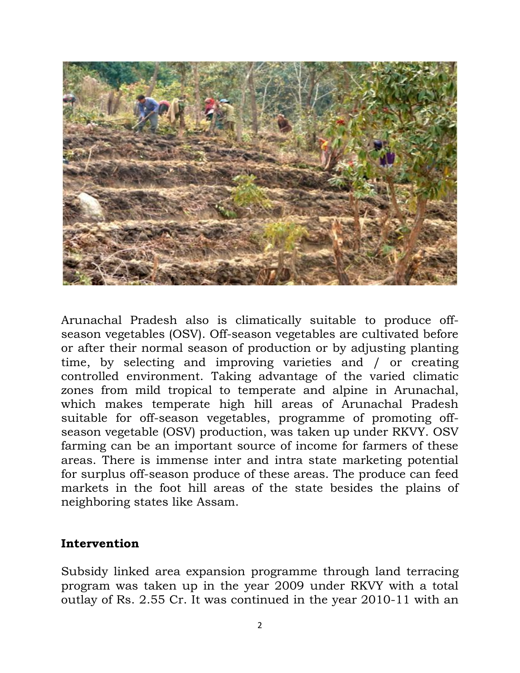

Arunachal Pradesh also is climatically suitable to produce offseason vegetables (OSV). Off-season vegetables are cultivated before or after their normal season of production or by adjusting planting time, by selecting and improving varieties and / or creating controlled environment. Taking advantage of the varied climatic zones from mild tropical to temperate and alpine in Arunachal, which makes temperate high hill areas of Arunachal Pradesh suitable for off-season vegetables, programme of promoting offseason vegetable (OSV) production, was taken up under RKVY. OSV farming can be an important source of income for farmers of these areas. There is immense inter and intra state marketing potential for surplus off-season produce of these areas. The produce can feed markets in the foot hill areas of the state besides the plains of neighboring states like Assam.

## **Intervention**

Subsidy linked area expansion programme through land terracing program was taken up in the year 2009 under RKVY with a total outlay of Rs. 2.55 Cr. It was continued in the year 2010-11 with an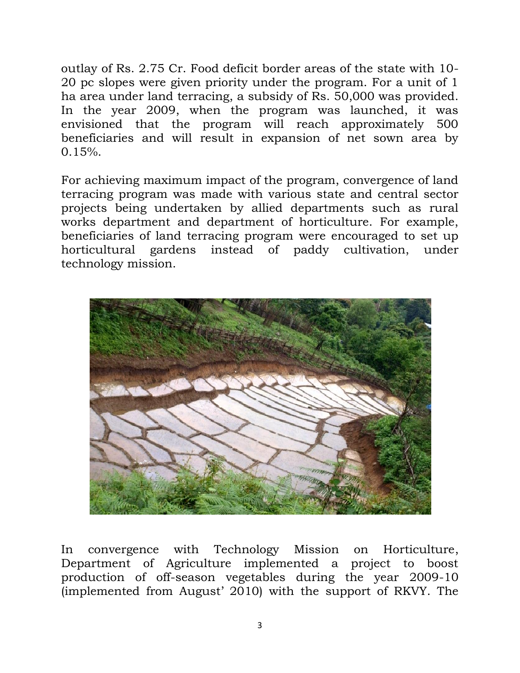outlay of Rs. 2.75 Cr. Food deficit border areas of the state with 10- 20 pc slopes were given priority under the program. For a unit of 1 ha area under land terracing, a subsidy of Rs. 50,000 was provided. In the year 2009, when the program was launched, it was envisioned that the program will reach approximately 500 beneficiaries and will result in expansion of net sown area by  $0.15%$ .

For achieving maximum impact of the program, convergence of land terracing program was made with various state and central sector projects being undertaken by allied departments such as rural works department and department of horticulture. For example, beneficiaries of land terracing program were encouraged to set up horticultural gardens instead of paddy cultivation, under technology mission.



In convergence with Technology Mission on Horticulture, Department of Agriculture implemented a project to boost production of off-season vegetables during the year 2009-10 (implemented from August' 2010) with the support of RKVY. The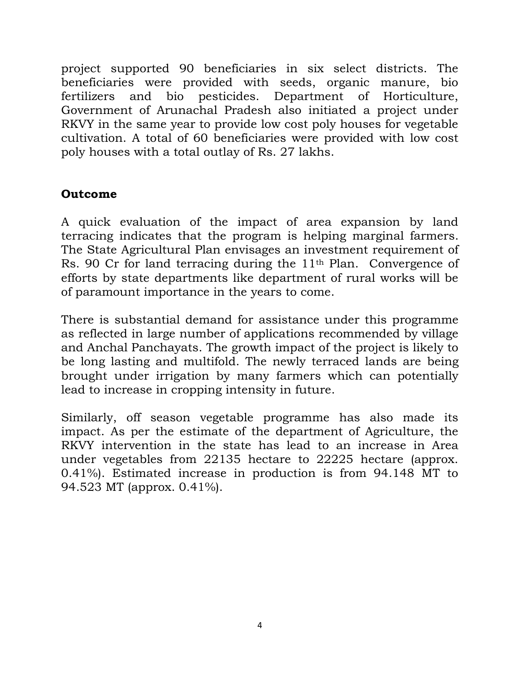project supported 90 beneficiaries in six select districts. The beneficiaries were provided with seeds, organic manure, bio fertilizers and bio pesticides. Department of Horticulture, Government of Arunachal Pradesh also initiated a project under RKVY in the same year to provide low cost poly houses for vegetable cultivation. A total of 60 beneficiaries were provided with low cost poly houses with a total outlay of Rs. 27 lakhs.

## **Outcome**

A quick evaluation of the impact of area expansion by land terracing indicates that the program is helping marginal farmers. The State Agricultural Plan envisages an investment requirement of Rs. 90 Cr for land terracing during the 11th Plan. Convergence of efforts by state departments like department of rural works will be of paramount importance in the years to come.

There is substantial demand for assistance under this programme as reflected in large number of applications recommended by village and Anchal Panchayats. The growth impact of the project is likely to be long lasting and multifold. The newly terraced lands are being brought under irrigation by many farmers which can potentially lead to increase in cropping intensity in future.

Similarly, off season vegetable programme has also made its impact. As per the estimate of the department of Agriculture, the RKVY intervention in the state has lead to an increase in Area under vegetables from 22135 hectare to 22225 hectare (approx. 0.41%). Estimated increase in production is from 94.148 MT to 94.523 MT (approx. 0.41%).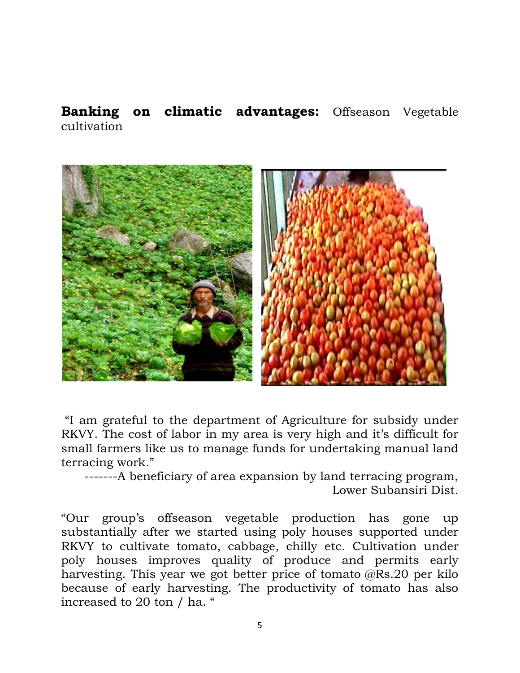**Banking on climatic advantages:** Offseason Vegetable cultivation



"I am grateful to the department of Agriculture for subsidy under RKVY. The cost of labor in my area is very high and it's difficult for small farmers like us to manage funds for undertaking manual land terracing work."

-------A beneficiary of area expansion by land terracing program, Lower Subansiri Dist.

"Our group's offseason vegetable production has gone up substantially after we started using poly houses supported under RKVY to cultivate tomato, cabbage, chilly etc. Cultivation under poly houses improves quality of produce and permits early harvesting. This year we got better price of tomato @Rs.20 per kilo because of early harvesting. The productivity of tomato has also increased to 20 ton / ha. "